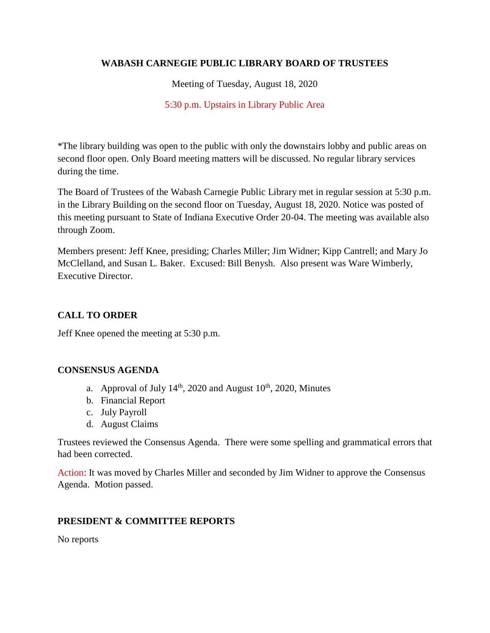# **WABASH CARNEGIE PUBLIC LIBRARY BOARD OF TRUSTEES**

Meeting of Tuesday, August 18, 2020

5:30 p.m. Upstairs in Library Public Area

\*The library building was open to the public with only the downstairs lobby and public areas on second floor open. Only Board meeting matters will be discussed. No regular library services during the time.

The Board of Trustees of the Wabash Carnegie Public Library met in regular session at 5:30 p.m. in the Library Building on the second floor on Tuesday, August 18, 2020. Notice was posted of this meeting pursuant to State of Indiana Executive Order 20-04. The meeting was available also through Zoom.

Members present: Jeff Knee, presiding; Charles Miller; Jim Widner; Kipp Cantrell; and Mary Jo McClelland, and Susan L. Baker. Excused: Bill Benysh. Also present was Ware Wimberly, Executive Director.

# **CALL TO ORDER**

Jeff Knee opened the meeting at 5:30 p.m.

# **CONSENSUS AGENDA**

- a. Approval of July  $14<sup>th</sup>$ , 2020 and August  $10<sup>th</sup>$ , 2020, Minutes
- b. Financial Report
- c. July Payroll
- d. August Claims

Trustees reviewed the Consensus Agenda. There were some spelling and grammatical errors that had been corrected.

Action: It was moved by Charles Miller and seconded by Jim Widner to approve the Consensus Agenda. Motion passed.

# **PRESIDENT & COMMITTEE REPORTS**

No reports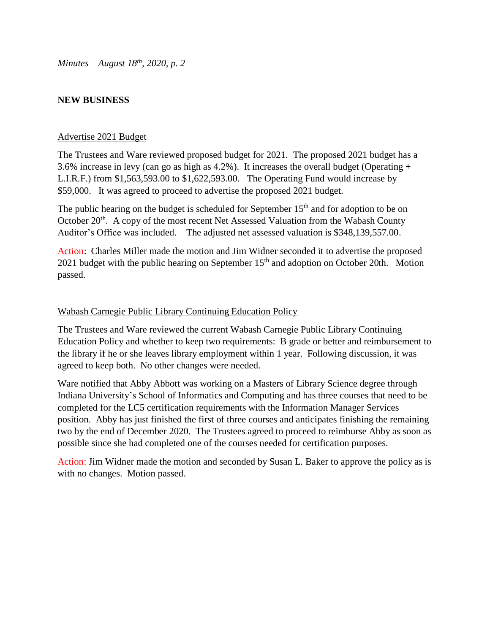*Minutes – August 18th, 2020, p. 2*

### **NEW BUSINESS**

#### Advertise 2021 Budget

The Trustees and Ware reviewed proposed budget for 2021. The proposed 2021 budget has a 3.6% increase in levy (can go as high as 4.2%). It increases the overall budget (Operating + L.I.R.F.) from \$1,563,593.00 to \$1,622,593.00. The Operating Fund would increase by \$59,000. It was agreed to proceed to advertise the proposed 2021 budget.

The public hearing on the budget is scheduled for September  $15<sup>th</sup>$  and for adoption to be on October 20<sup>th</sup>. A copy of the most recent Net Assessed Valuation from the Wabash County Auditor's Office was included. The adjusted net assessed valuation is \$348,139,557.00.

Action: Charles Miller made the motion and Jim Widner seconded it to advertise the proposed 2021 budget with the public hearing on September  $15<sup>th</sup>$  and adoption on October 20th. Motion passed.

### Wabash Carnegie Public Library Continuing Education Policy

The Trustees and Ware reviewed the current Wabash Carnegie Public Library Continuing Education Policy and whether to keep two requirements: B grade or better and reimbursement to the library if he or she leaves library employment within 1 year. Following discussion, it was agreed to keep both. No other changes were needed.

Ware notified that Abby Abbott was working on a Masters of Library Science degree through Indiana University's School of Informatics and Computing and has three courses that need to be completed for the LC5 certification requirements with the Information Manager Services position. Abby has just finished the first of three courses and anticipates finishing the remaining two by the end of December 2020. The Trustees agreed to proceed to reimburse Abby as soon as possible since she had completed one of the courses needed for certification purposes.

Action: Jim Widner made the motion and seconded by Susan L. Baker to approve the policy as is with no changes. Motion passed.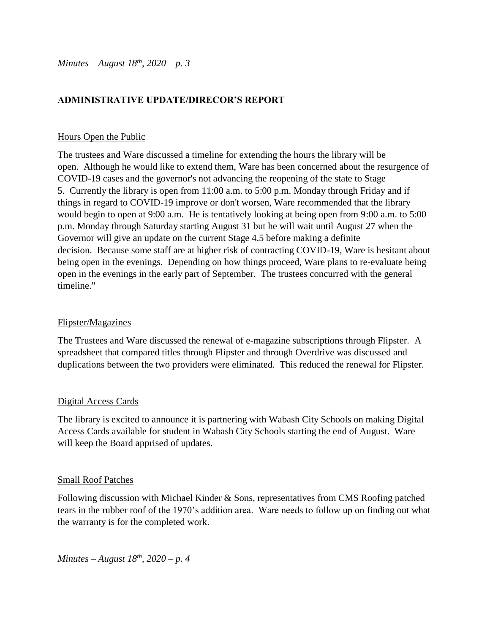*Minutes – August 18th, 2020 – p. 3*

## **ADMINISTRATIVE UPDATE/DIRECOR'S REPORT**

#### Hours Open the Public

The trustees and Ware discussed a timeline for extending the hours the library will be open. Although he would like to extend them, Ware has been concerned about the resurgence of COVID-19 cases and the governor's not advancing the reopening of the state to Stage 5. Currently the library is open from 11:00 a.m. to 5:00 p.m. Monday through Friday and if things in regard to COVID-19 improve or don't worsen, Ware recommended that the library would begin to open at 9:00 a.m. He is tentatively looking at being open from 9:00 a.m. to 5:00 p.m. Monday through Saturday starting August 31 but he will wait until August 27 when the Governor will give an update on the current Stage 4.5 before making a definite decision. Because some staff are at higher risk of contracting COVID-19, Ware is hesitant about being open in the evenings. Depending on how things proceed, Ware plans to re-evaluate being open in the evenings in the early part of September. The trustees concurred with the general timeline."

### Flipster/Magazines

The Trustees and Ware discussed the renewal of e-magazine subscriptions through Flipster. A spreadsheet that compared titles through Flipster and through Overdrive was discussed and duplications between the two providers were eliminated. This reduced the renewal for Flipster.

### Digital Access Cards

The library is excited to announce it is partnering with Wabash City Schools on making Digital Access Cards available for student in Wabash City Schools starting the end of August. Ware will keep the Board apprised of updates.

#### Small Roof Patches

Following discussion with Michael Kinder & Sons, representatives from CMS Roofing patched tears in the rubber roof of the 1970's addition area. Ware needs to follow up on finding out what the warranty is for the completed work.

*Minutes – August 18th, 2020 – p. 4*